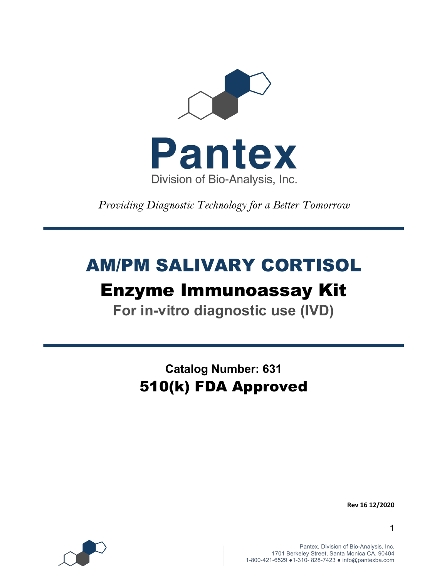

*Providing Diagnostic Technology for a Better Tomorrow* 

# AM/PM SALIVARY CORTISOL Enzyme Immunoassay Kit

**For in-vitro diagnostic use (IVD)**

**Catalog Number: 631** 510(k) FDA Approved

**Rev 16 12/2020**

1

Pantex, Division of Bio-Analysis, Inc. 1701 Berkeley Street, Santa Monica CA, 90404 1-800-421-6529 ●1-310- 828-7423 ● info@pantexba.com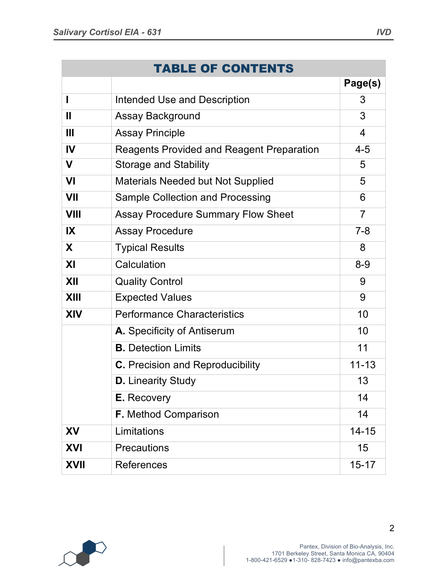|              | <b>TABLE OF CONTENTS</b>                         |                |
|--------------|--------------------------------------------------|----------------|
|              |                                                  | Page(s)        |
|              | <b>Intended Use and Description</b>              | 3              |
| $\mathbf{I}$ | <b>Assay Background</b>                          | 3              |
| Ш            | <b>Assay Principle</b>                           | 4              |
| IV           | <b>Reagents Provided and Reagent Preparation</b> | $4 - 5$        |
| $\mathbf V$  | <b>Storage and Stability</b>                     | 5              |
| VI           | <b>Materials Needed but Not Supplied</b>         | 5              |
| VII          | <b>Sample Collection and Processing</b>          | 6              |
| <b>VIII</b>  | <b>Assay Procedure Summary Flow Sheet</b>        | $\overline{7}$ |
| IX           | <b>Assay Procedure</b>                           | $7 - 8$        |
| X            | <b>Typical Results</b>                           | 8              |
| XI           | Calculation                                      | $8 - 9$        |
| XII          | <b>Quality Control</b>                           | 9              |
| <b>XIII</b>  | <b>Expected Values</b>                           | 9              |
| <b>XIV</b>   | <b>Performance Characteristics</b>               | 10             |
|              | A. Specificity of Antiserum                      | 10             |
|              | <b>B.</b> Detection Limits                       | 11             |
|              | <b>C.</b> Precision and Reproducibility          | $11 - 13$      |
|              | <b>D.</b> Linearity Study                        | 13             |
|              | <b>E.</b> Recovery                               | 14             |
|              | <b>F.</b> Method Comparison                      | 14             |
| <b>XV</b>    | Limitations                                      | $14 - 15$      |
| <b>XVI</b>   | Precautions                                      | 15             |
| <b>XVII</b>  | <b>References</b>                                | $15 - 17$      |

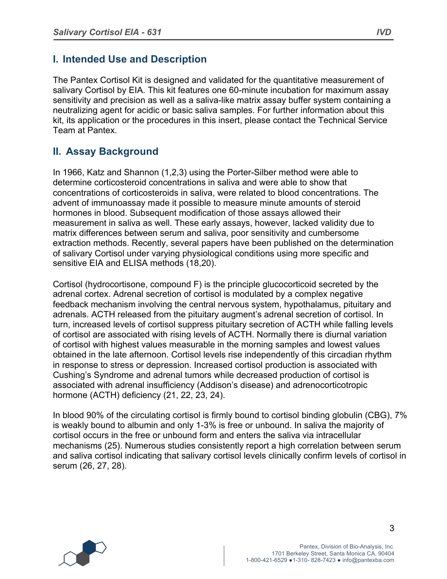# **I. Intended Use and Description**

The Pantex Cortisol Kit is designed and validated for the quantitative measurement of salivary Cortisol by EIA. This kit features one 60-minute incubation for maximum assay sensitivity and precision as well as a saliva-like matrix assay buffer system containing a neutralizing agent for acidic or basic saliva samples. For further information about this kit, its application or the procedures in this insert, please contact the Technical Service Team at Pantex.

# **II. Assay Background**

In 1966, Katz and Shannon (1,2,3) using the Porter-Silber method were able to determine corticosteroid concentrations in saliva and were able to show that concentrations of corticosteroids in saliva, were related to blood concentrations. The advent of immunoassay made it possible to measure minute amounts of steroid hormones in blood. Subsequent modification of those assays allowed their measurement in saliva as well. These early assays, however, lacked validity due to matrix differences between serum and saliva, poor sensitivity and cumbersome extraction methods. Recently, several papers have been published on the determination of salivary Cortisol under varying physiological conditions using more specific and sensitive EIA and ELISA methods (18,20).

Cortisol (hydrocortisone, compound F) is the principle glucocorticoid secreted by the adrenal cortex. Adrenal secretion of cortisol is modulated by a complex negative feedback mechanism involving the central nervous system, hypothalamus, pituitary and adrenals. ACTH released from the pituitary augment's adrenal secretion of cortisol. In turn, increased levels of cortisol suppress pituitary secretion of ACTH while falling levels of cortisol are associated with rising levels of ACTH. Normally there is diurnal variation of cortisol with highest values measurable in the morning samples and lowest values obtained in the late afternoon. Cortisol levels rise independently of this circadian rhythm in response to stress or depression. Increased cortisol production is associated with Cushing's Syndrome and adrenal tumors while decreased production of cortisol is associated with adrenal insufficiency (Addison's disease) and adrenocorticotropic hormone (ACTH) deficiency (21, 22, 23, 24).

In blood 90% of the circulating cortisol is firmly bound to cortisol binding globulin (CBG), 7% is weakly bound to albumin and only 1-3% is free or unbound. In saliva the majority of cortisol occurs in the free or unbound form and enters the saliva via intracellular mechanisms (25). Numerous studies consistently report a high correlation between serum and saliva cortisol indicating that salivary cortisol levels clinically confirm levels of cortisol in serum (26, 27, 28).

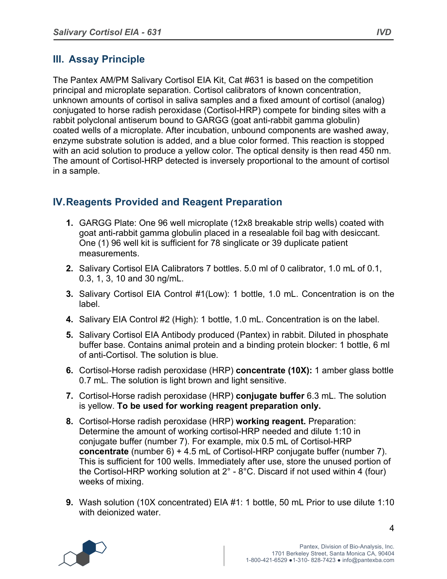# **III. Assay Principle**

The Pantex AM/PM Salivary Cortisol EIA Kit, Cat #631 is based on the competition principal and microplate separation. Cortisol calibrators of known concentration, unknown amounts of cortisol in saliva samples and a fixed amount of cortisol (analog) conjugated to horse radish peroxidase (Cortisol-HRP) compete for binding sites with a rabbit polyclonal antiserum bound to GARGG (goat anti-rabbit gamma globulin) coated wells of a microplate. After incubation, unbound components are washed away, enzyme substrate solution is added, and a blue color formed. This reaction is stopped with an acid solution to produce a yellow color. The optical density is then read 450 nm. The amount of Cortisol-HRP detected is inversely proportional to the amount of cortisol in a sample.

# **IV.Reagents Provided and Reagent Preparation**

- **1.** GARGG Plate: One 96 well microplate (12x8 breakable strip wells) coated with goat anti-rabbit gamma globulin placed in a resealable foil bag with desiccant. One (1) 96 well kit is sufficient for 78 singlicate or 39 duplicate patient measurements.
- **2.** Salivary Cortisol EIA Calibrators 7 bottles. 5.0 ml of 0 calibrator, 1.0 mL of 0.1, 0.3, 1, 3, 10 and 30 ng/mL.
- **3.** Salivary Cortisol EIA Control #1(Low): 1 bottle, 1.0 mL. Concentration is on the label.
- **4.** Salivary EIA Control #2 (High): 1 bottle, 1.0 mL. Concentration is on the label.
- **5.** Salivary Cortisol EIA Antibody produced (Pantex) in rabbit. Diluted in phosphate buffer base. Contains animal protein and a binding protein blocker: 1 bottle, 6 ml of anti-Cortisol. The solution is blue.
- **6.** Cortisol-Horse radish peroxidase (HRP) **concentrate (10X):** 1 amber glass bottle 0.7 mL. The solution is light brown and light sensitive.
- **7.** Cortisol-Horse radish peroxidase (HRP) **conjugate buffer** 6.3 mL. The solution is yellow. **To be used for working reagent preparation only.**
- **8.** Cortisol-Horse radish peroxidase (HRP) **working reagent.** Preparation: Determine the amount of working cortisol-HRP needed and dilute 1:10 in conjugate buffer (number 7). For example, mix 0.5 mL of Cortisol-HRP **concentrate** (number 6) + 4.5 mL of Cortisol-HRP conjugate buffer (number 7). This is sufficient for 100 wells. Immediately after use, store the unused portion of the Cortisol-HRP working solution at  $2^\circ$  - 8°C. Discard if not used within 4 (four) weeks of mixing.
- **9.** Wash solution (10X concentrated) EIA #1: 1 bottle, 50 mL Prior to use dilute 1:10 with deionized water.

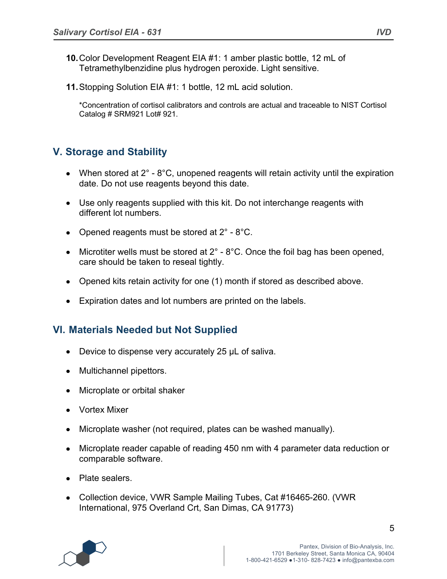- **10.**Color Development Reagent EIA #1: 1 amber plastic bottle, 12 mL of Tetramethylbenzidine plus hydrogen peroxide. Light sensitive.
- **11.**Stopping Solution EIA #1: 1 bottle, 12 mL acid solution.

\*Concentration of cortisol calibrators and controls are actual and traceable to NIST Cortisol Catalog # SRM921 Lot# 921.

# **V. Storage and Stability**

- When stored at  $2^\circ$   $8^\circ$ C, unopened reagents will retain activity until the expiration date. Do not use reagents beyond this date.
- Use only reagents supplied with this kit. Do not interchange reagents with different lot numbers.
- Opened reagents must be stored at  $2^{\circ}$  8°C.
- Microtiter wells must be stored at  $2^\circ$   $8^\circ$ C. Once the foil bag has been opened, care should be taken to reseal tightly.
- Opened kits retain activity for one (1) month if stored as described above.
- Expiration dates and lot numbers are printed on the labels.

## **VI. Materials Needed but Not Supplied**

- Device to dispense very accurately 25 µL of saliva.
- Multichannel pipettors.
- Microplate or orbital shaker
- Vortex Mixer
- Microplate washer (not required, plates can be washed manually).
- Microplate reader capable of reading 450 nm with 4 parameter data reduction or comparable software.
- Plate sealers.
- Collection device, VWR Sample Mailing Tubes, Cat #16465-260. (VWR International, 975 Overland Crt, San Dimas, CA 91773)

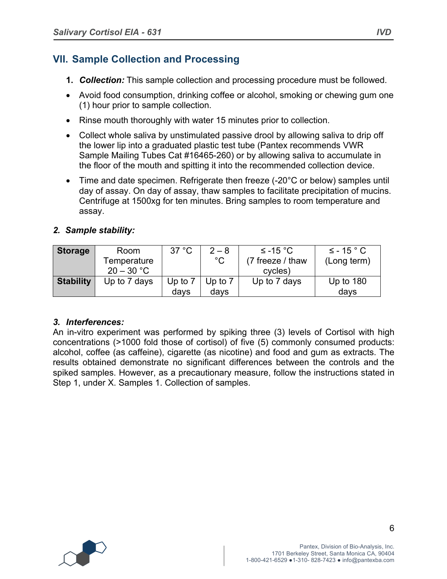# **VII. Sample Collection and Processing**

- **1.** *Collection:* This sample collection and processing procedure must be followed.
- Avoid food consumption, drinking coffee or alcohol, smoking or chewing gum one (1) hour prior to sample collection.
- Rinse mouth thoroughly with water 15 minutes prior to collection.
- Collect whole saliva by unstimulated passive drool by allowing saliva to drip off the lower lip into a graduated plastic test tube (Pantex recommends VWR Sample Mailing Tubes Cat #16465-260) or by allowing saliva to accumulate in the floor of the mouth and spitting it into the recommended collection device.
- Time and date specimen. Refrigerate then freeze (-20°C or below) samples until day of assay. On day of assay, thaw samples to facilitate precipitation of mucins. Centrifuge at 1500xg for ten minutes. Bring samples to room temperature and assay.

#### *2. Sample stability:*

| <b>Storage</b>   | Room         | 37 °C   | $2 - 8$     | $\leq$ -15 °C    | $\leq$ - 15 $\degree$ C |
|------------------|--------------|---------|-------------|------------------|-------------------------|
|                  | Temperature  |         | $^{\circ}C$ | (7 freeze / thaw | (Long term)             |
|                  | $20 - 30 °C$ |         |             | cycles)          |                         |
| <b>Stability</b> | Up to 7 days | Up to 7 | Up to $7$   | Up to 7 days     | Up to $180$             |
|                  |              | days    | days        |                  | days                    |

#### *3. Interferences:*

An in-vitro experiment was performed by spiking three (3) levels of Cortisol with high concentrations (>1000 fold those of cortisol) of five (5) commonly consumed products: alcohol, coffee (as caffeine), cigarette (as nicotine) and food and gum as extracts. The results obtained demonstrate no significant differences between the controls and the spiked samples. However, as a precautionary measure, follow the instructions stated in Step 1, under X. Samples 1. Collection of samples.

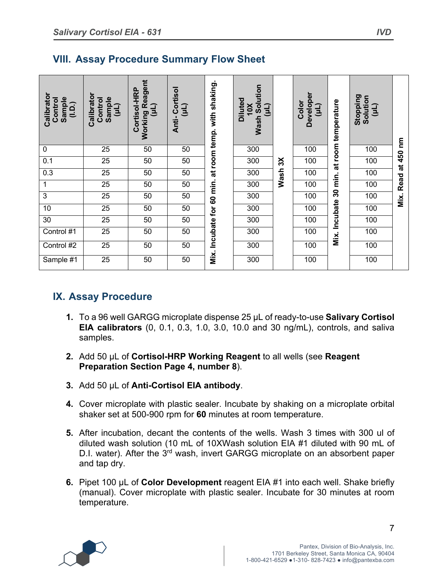# **VIII. Assay Procedure Summary Flow Sheet**

| Calibrator<br>Control<br>Sample<br>(1.5.) | Calibrator<br>Sample<br>Control<br>(11) | <b>Working Reagent</b><br>Cortisol-HRP<br>(11) | Anti-Cortisol<br>(11) | at room temp. with shaking. | <b>Wash Solution</b><br>Diluted<br>10 <sub>X</sub><br>(11) |             | Developer<br>Color<br>(11) | at room temperature | Stopping<br>Solution<br>(11) | ξ                |
|-------------------------------------------|-----------------------------------------|------------------------------------------------|-----------------------|-----------------------------|------------------------------------------------------------|-------------|----------------------------|---------------------|------------------------------|------------------|
| $\mathbf 0$                               | 25                                      | 50                                             | 50                    |                             | 300                                                        |             | 100                        |                     | 100                          |                  |
| 0.1                                       | 25                                      | 50                                             | 50                    |                             | 300                                                        | $\aleph$    | 100                        |                     | 100                          | 450<br>$\vec{a}$ |
| 0.3                                       | 25                                      | 50                                             | 50                    |                             | 300                                                        | <b>Wash</b> | 100                        |                     | 100                          |                  |
| 1                                         | 25                                      | 50                                             | 50                    |                             | 300                                                        |             | 100                        | 30 min.             | 100                          | Read             |
| 3                                         | 25                                      | 50                                             | 50                    | 60 min.                     | 300                                                        |             | 100                        |                     | 100                          | Mix.             |
| 10                                        | 25                                      | 50                                             | 50                    |                             | 300                                                        |             | 100                        |                     | 100                          |                  |
| 30                                        | $\overline{25}$                         | 50                                             | 50                    |                             | 300                                                        |             | 100                        |                     | 100                          |                  |
| Control #1                                | $\overline{25}$                         | 50                                             | 50                    | Incubate for                | 300                                                        |             | 100                        | Mix. Incubate       | 100                          |                  |
| Control #2                                | $\overline{25}$                         | 50                                             | 50                    |                             | 300                                                        |             | 100                        |                     | 100                          |                  |
| Sample $\overline{41}$                    | $\overline{25}$                         | 50                                             | 50                    | Mix.                        | 300                                                        |             | 100                        |                     | 100                          |                  |

# **IX. Assay Procedure**

- **1.** To a 96 well GARGG microplate dispense 25 µL of ready-to-use **Salivary Cortisol EIA calibrators** (0, 0.1, 0.3, 1.0, 3.0, 10.0 and 30 ng/mL), controls, and saliva samples.
- **2.** Add 50 µL of **Cortisol-HRP Working Reagent** to all wells (see **Reagent Preparation Section Page 4, number 8**).
- **3.** Add 50 µL of **Anti-Cortisol EIA antibody**.
- **4.** Cover microplate with plastic sealer. Incubate by shaking on a microplate orbital shaker set at 500-900 rpm for **60** minutes at room temperature.
- **5.** After incubation, decant the contents of the wells. Wash 3 times with 300 ul of diluted wash solution (10 mL of 10XWash solution EIA #1 diluted with 90 mL of D.I. water). After the 3<sup>rd</sup> wash, invert GARGG microplate on an absorbent paper and tap dry.
- **6.** Pipet 100 µL of **Color Development** reagent EIA #1 into each well. Shake briefly (manual). Cover microplate with plastic sealer. Incubate for 30 minutes at room temperature.

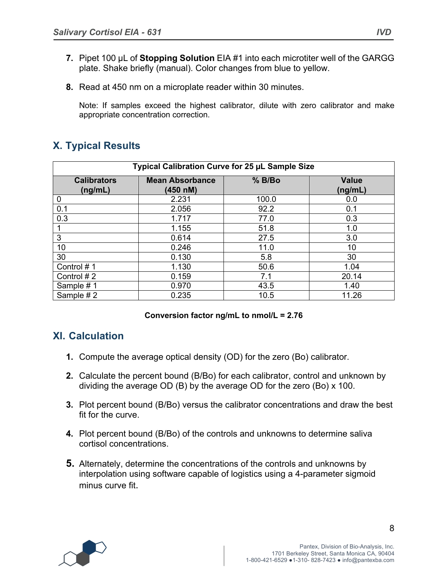- **7.** Pipet 100 µL of **Stopping Solution** EIA #1 into each microtiter well of the GARGG plate. Shake briefly (manual). Color changes from blue to yellow.
- **8.** Read at 450 nm on a microplate reader within 30 minutes.

Note: If samples exceed the highest calibrator, dilute with zero calibrator and make appropriate concentration correction.

# **X. Typical Results**

| Typical Calibration Curve for 25 µL Sample Size |                                    |        |                         |  |
|-------------------------------------------------|------------------------------------|--------|-------------------------|--|
| <b>Calibrators</b><br>(ng/mL)                   | <b>Mean Absorbance</b><br>(450 nM) | % B/Bo | <b>Value</b><br>(ng/mL) |  |
| 0                                               | 2.231                              | 100.0  | 0.0                     |  |
| 0.1                                             | 2.056                              | 92.2   | 0.1                     |  |
| 0.3                                             | 1.717                              | 77.0   | 0.3                     |  |
|                                                 | 1.155                              | 51.8   | 1.0                     |  |
| 3                                               | 0.614                              | 27.5   | 3.0                     |  |
| 10                                              | 0.246                              | 11.0   | 10                      |  |
| 30                                              | 0.130                              | 5.8    | 30                      |  |
| Control #1                                      | 1.130                              | 50.6   | 1.04                    |  |
| Control #2                                      | 0.159                              | 7.1    | 20.14                   |  |
| Sample #1                                       | 0.970                              | 43.5   | 1.40                    |  |
| Sample #2                                       | 0.235                              | 10.5   | 11.26                   |  |

#### **Conversion factor ng/mL to nmol/L = 2.76**

## **XI. Calculation**

- **1.** Compute the average optical density (OD) for the zero (Bo) calibrator.
- **2.** Calculate the percent bound (B/Bo) for each calibrator, control and unknown by dividing the average OD (B) by the average OD for the zero (Bo) x 100.
- **3.** Plot percent bound (B/Bo) versus the calibrator concentrations and draw the best fit for the curve.
- **4.** Plot percent bound (B/Bo) of the controls and unknowns to determine saliva cortisol concentrations.
- **5.** Alternately, determine the concentrations of the controls and unknowns by interpolation using software capable of logistics using a 4-parameter sigmoid minus curve fit.

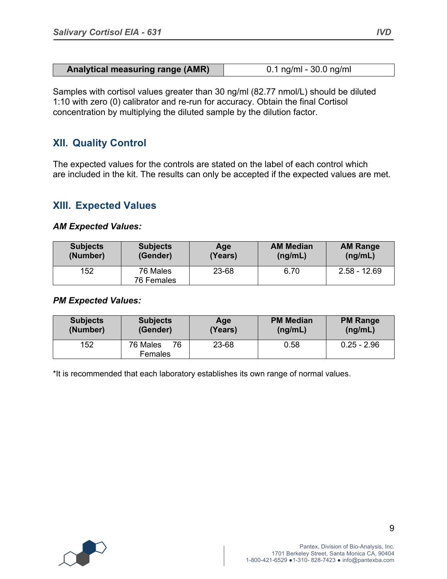| <b>Analytical measuring range (AMR)</b> | $0.1$ ng/ml - 30.0 ng/ml |
|-----------------------------------------|--------------------------|

Samples with cortisol values greater than 30 ng/ml (82.77 nmol/L) should be diluted 1:10 with zero (0) calibrator and re-run for accuracy. Obtain the final Cortisol concentration by multiplying the diluted sample by the dilution factor.

## **XII. Quality Control**

The expected values for the controls are stated on the label of each control which are included in the kit. The results can only be accepted if the expected values are met.

## **XIII. Expected Values**

#### *AM Expected Values:*

| <b>Subjects</b> | <b>Subjects</b>        | Aae     | <b>AM Median</b> | <b>AM Range</b> |
|-----------------|------------------------|---------|------------------|-----------------|
| (Number)        | (Gender)               | (Years) | (ng/mL)          | (ng/mL)         |
| 152             | 76 Males<br>76 Females | 23-68   | 6.70             | $2.58 - 12.69$  |

#### *PM Expected Values:*

| <b>Subjects</b> | <b>Subjects</b>           | Age     | <b>PM Median</b> | <b>PM Range</b> |
|-----------------|---------------------------|---------|------------------|-----------------|
| (Number)        | (Gender)                  | (Years) | (ng/mL)          | (ng/mL)         |
| 152             | 76 Males<br>76<br>Females | 23-68   | 0.58             | $0.25 - 2.96$   |

\*It is recommended that each laboratory establishes its own range of normal values.

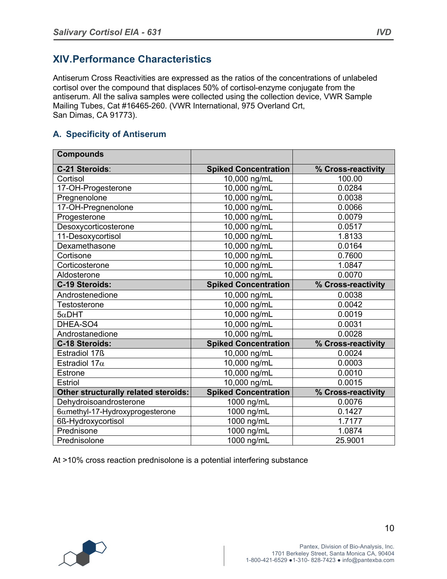# **XIV.Performance Characteristics**

Antiserum Cross Reactivities are expressed as the ratios of the concentrations of unlabeled cortisol over the compound that displaces 50% of cortisol-enzyme conjugate from the antiserum. All the saliva samples were collected using the collection device, VWR Sample Mailing Tubes, Cat #16465-260. (VWR International, 975 Overland Crt, San Dimas, CA 91773).

## **A. Specificity of Antiserum**

| <b>Compounds</b>                     |                             |                    |
|--------------------------------------|-----------------------------|--------------------|
| C-21 Steroids:                       | <b>Spiked Concentration</b> | % Cross-reactivity |
| Cortisol                             | 10,000 ng/mL                | 100.00             |
| 17-OH-Progesterone                   | 10,000 ng/mL                | 0.0284             |
| Pregnenolone                         | 10,000 ng/mL                | 0.0038             |
| 17-OH-Pregnenolone                   | 10,000 ng/mL                | 0.0066             |
| Progesterone                         | 10,000 ng/mL                | 0.0079             |
| Desoxycorticosterone                 | 10,000 ng/mL                | 0.0517             |
| 11-Desoxycortisol                    | 10,000 ng/mL                | 1.8133             |
| Dexamethasone                        | 10,000 ng/mL                | 0.0164             |
| Cortisone                            | 10,000 ng/mL                | 0.7600             |
| Corticosterone                       | 10,000 ng/mL                | 1.0847             |
| Aldosterone                          | 10,000 ng/mL                | 0.0070             |
| C-19 Steroids:                       | <b>Spiked Concentration</b> | % Cross-reactivity |
| Androstenedione                      | 10,000 ng/mL                | 0.0038             |
| <b>Testosterone</b>                  | 10,000 ng/mL                | 0.0042             |
| $5\alpha$ DHT                        | 10,000 ng/mL                | 0.0019             |
| DHEA-SO4                             | 10,000 ng/mL                | 0.0031             |
| Androstanedione                      | 10,000 ng/mL                | 0.0028             |
| C-18 Steroids:                       | <b>Spiked Concentration</b> | % Cross-reactivity |
| Estradiol 17ß                        | 10,000 ng/mL                | 0.0024             |
| Estradiol 17 $\alpha$                | 10,000 ng/mL                | 0.0003             |
| Estrone                              | 10,000 ng/mL                | 0.0010             |
| <b>Estriol</b>                       | 10,000 ng/mL                | 0.0015             |
| Other structurally related steroids: | <b>Spiked Concentration</b> | % Cross-reactivity |
| Dehydroisoandrosterone               | 1000 ng/mL                  | 0.0076             |
| 6amethyl-17-Hydroxyprogesterone      | 1000 ng/mL                  | 0.1427             |
| 6ß-Hydroxycortisol                   | 1000 ng/mL                  | 1.7177             |
| Prednisone                           | 1000 ng/mL                  | 1.0874             |
| Prednisolone                         | 1000 ng/mL                  | 25.9001            |

At >10% cross reaction prednisolone is a potential interfering substance

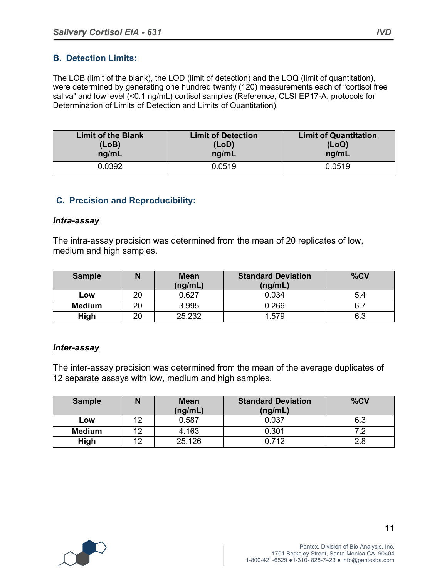#### **B. Detection Limits:**

The LOB (limit of the blank), the LOD (limit of detection) and the LOQ (limit of quantitation), were determined by generating one hundred twenty (120) measurements each of "cortisol free saliva" and low level (<0.1 ng/mL) cortisol samples (Reference, CLSI EP17-A, protocols for Determination of Limits of Detection and Limits of Quantitation).

| <b>Limit of the Blank</b> | <b>Limit of Detection</b> | <b>Limit of Quantitation</b> |
|---------------------------|---------------------------|------------------------------|
| (LoB)                     | (LOD)                     | (LoQ)                        |
| ng/mL                     | ng/mL                     | ng/mL                        |
| 0.0392                    | 0.0519                    | 0.0519                       |

#### **C. Precision and Reproducibility:**

#### *Intra-assay*

The intra-assay precision was determined from the mean of 20 replicates of low, medium and high samples.

| <b>Sample</b> | N  | <b>Mean</b><br>(ng/mL) | <b>Standard Deviation</b><br>(ng/mL) | %CV |
|---------------|----|------------------------|--------------------------------------|-----|
| Low           | 20 | 0.627                  | 0.034                                | 5.4 |
| <b>Medium</b> | 20 | 3.995                  | 0.266                                |     |
| High          | 20 | 25.232                 | 1.579                                | 6.3 |

#### *Inter-assay*

The inter-assay precision was determined from the mean of the average duplicates of 12 separate assays with low, medium and high samples.

| <b>Sample</b> |    | <b>Mean</b><br>(ng/mL) | <b>Standard Deviation</b><br>(ng/mL) | %CV |
|---------------|----|------------------------|--------------------------------------|-----|
| Low           | ィつ | 0.587                  | 0.037                                | 6.3 |
| <b>Medium</b> | 10 | 4.163                  | 0.301                                |     |
| High          | 10 | 25.126                 | በ 712                                |     |

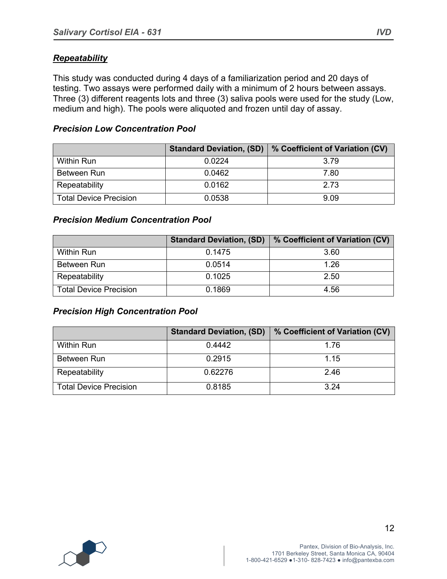## *Repeatability*

This study was conducted during 4 days of a familiarization period and 20 days of testing. Two assays were performed daily with a minimum of 2 hours between assays. Three (3) different reagents lots and three (3) saliva pools were used for the study (Low, medium and high). The pools were aliquoted and frozen until day of assay.

#### *Precision Low Concentration Pool*

|                               | <b>Standard Deviation, (SD)</b> | % Coefficient of Variation (CV) |
|-------------------------------|---------------------------------|---------------------------------|
| <b>Within Run</b>             | 0.0224                          | 3.79                            |
| Between Run                   | 0.0462                          | 7.80                            |
| Repeatability                 | 0.0162                          | 2.73                            |
| <b>Total Device Precision</b> | 0.0538                          | 9.09                            |

#### *Precision Medium Concentration Pool*

|                               | <b>Standard Deviation, (SD)</b> | % Coefficient of Variation (CV) |
|-------------------------------|---------------------------------|---------------------------------|
| <b>Within Run</b>             | 0.1475                          | 3.60                            |
| Between Run                   | 0.0514                          | 1.26                            |
| Repeatability                 | 0.1025                          | 2.50                            |
| <b>Total Device Precision</b> | 0.1869                          | 4.56                            |

#### *Precision High Concentration Pool*

|                               | <b>Standard Deviation, (SD)</b> | % Coefficient of Variation (CV) |
|-------------------------------|---------------------------------|---------------------------------|
| <b>Within Run</b>             | 0.4442                          | 1.76                            |
| Between Run                   | 0.2915                          | 1.15                            |
| Repeatability                 | 0.62276                         | 2.46                            |
| <b>Total Device Precision</b> | 0.8185                          | 3.24                            |

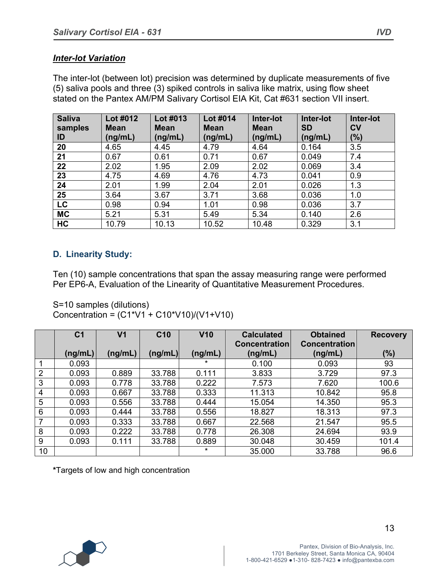#### *Inter-lot Variation*

The inter-lot (between lot) precision was determined by duplicate measurements of five (5) saliva pools and three (3) spiked controls in saliva like matrix, using flow sheet stated on the Pantex AM/PM Salivary Cortisol EIA Kit, Cat #631 section VII insert.

| <b>Saliva</b><br>samples | Lot #012<br><b>Mean</b> | Lot #013<br><b>Mean</b> | Lot #014<br><b>Mean</b> | Inter-lot<br><b>Mean</b> | Inter-lot<br><b>SD</b> | Inter-lot<br><b>CV</b> |
|--------------------------|-------------------------|-------------------------|-------------------------|--------------------------|------------------------|------------------------|
| ID                       | (ng/mL)                 | (ng/mL)                 | (ng/mL)                 | (ng/mL)                  | (ng/mL)                | (%)                    |
| 20                       | 4.65                    | 4.45                    | 4.79                    | 4.64                     | 0.164                  | 3.5                    |
| 21                       | 0.67                    | 0.61                    | 0.71                    | 0.67                     | 0.049                  | 7.4                    |
| 22                       | 2.02                    | 1.95                    | 2.09                    | 2.02                     | 0.069                  | 3.4                    |
| 23                       | 4.75                    | 4.69                    | 4.76                    | 4.73                     | 0.041                  | 0.9                    |
| 24                       | 2.01                    | 1.99                    | 2.04                    | 2.01                     | 0.026                  | 1.3                    |
| 25                       | 3.64                    | 3.67                    | 3.71                    | 3.68                     | 0.036                  | 1.0                    |
| <b>LC</b>                | 0.98                    | 0.94                    | 1.01                    | 0.98                     | 0.036                  | 3.7                    |
| <b>MC</b>                | 5.21                    | 5.31                    | 5.49                    | 5.34                     | 0.140                  | 2.6                    |
| HC                       | 10.79                   | 10.13                   | 10.52                   | 10.48                    | 0.329                  | 3.1                    |

## **D. Linearity Study:**

Ten (10) sample concentrations that span the assay measuring range were performed Per EP6-A, Evaluation of the Linearity of Quantitative Measurement Procedures.

S=10 samples (dilutions) Concentration =  $(C1*V1 + C10*V10)/(V1+V10)$ 

|    | C <sub>1</sub> | V <sub>1</sub> | C <sub>10</sub> | V10     | <b>Calculated</b><br><b>Concentration</b> | <b>Obtained</b><br><b>Concentration</b> | <b>Recovery</b> |
|----|----------------|----------------|-----------------|---------|-------------------------------------------|-----------------------------------------|-----------------|
|    | (ng/mL)        | (ng/mL)        | (ng/mL)         | (ng/mL) | (ng/mL)                                   | (ng/mL)                                 | (%)             |
|    | 0.093          |                |                 | *       | 0.100                                     | 0.093                                   | 93              |
| 2  | 0.093          | 0.889          | 33.788          | 0.111   | 3.833                                     | 3.729                                   | 97.3            |
| 3  | 0.093          | 0.778          | 33.788          | 0.222   | 7.573                                     | 7.620                                   | 100.6           |
| 4  | 0.093          | 0.667          | 33.788          | 0.333   | 11.313                                    | 10.842                                  | 95.8            |
| 5  | 0.093          | 0.556          | 33.788          | 0.444   | 15.054                                    | 14.350                                  | 95.3            |
| 6  | 0.093          | 0.444          | 33.788          | 0.556   | 18.827                                    | 18.313                                  | 97.3            |
|    | 0.093          | 0.333          | 33.788          | 0.667   | 22.568                                    | 21.547                                  | 95.5            |
| 8  | 0.093          | 0.222          | 33.788          | 0.778   | 26.308                                    | 24.694                                  | 93.9            |
| 9  | 0.093          | 0.111          | 33.788          | 0.889   | 30.048                                    | 30.459                                  | 101.4           |
| 10 |                |                |                 | $\star$ | 35.000                                    | 33.788                                  | 96.6            |

**\***Targets of low and high concentration

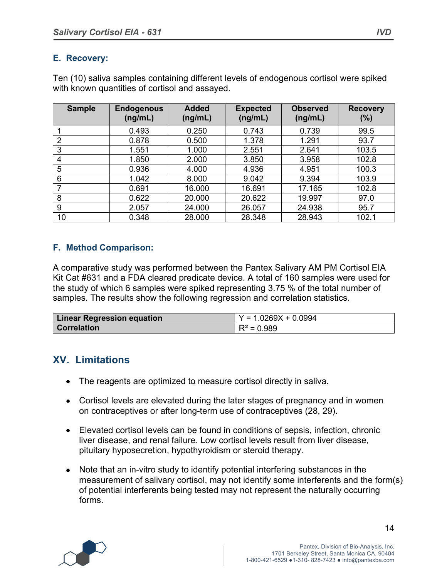## **E. Recovery:**

Ten (10) saliva samples containing different levels of endogenous cortisol were spiked with known quantities of cortisol and assayed.

| <b>Sample</b>  | <b>Endogenous</b><br>(ng/mL) | <b>Added</b><br>(ng/mL) | <b>Expected</b><br>(ng/mL) | <b>Observed</b><br>(ng/mL) | <b>Recovery</b><br>$(\%)$ |
|----------------|------------------------------|-------------------------|----------------------------|----------------------------|---------------------------|
|                | 0.493                        | 0.250                   | 0.743                      | 0.739                      | 99.5                      |
| $\overline{2}$ | 0.878                        | 0.500                   | 1.378                      | 1.291                      | 93.7                      |
| 3              | 1.551                        | 1.000                   | 2.551                      | 2.641                      | 103.5                     |
| 4              | 1.850                        | 2.000                   | 3.850                      | 3.958                      | 102.8                     |
| 5              | 0.936                        | 4.000                   | 4.936                      | 4.951                      | 100.3                     |
| 6              | 1.042                        | 8.000                   | 9.042                      | 9.394                      | 103.9                     |
| 7              | 0.691                        | 16.000                  | 16.691                     | 17.165                     | 102.8                     |
| 8              | 0.622                        | 20.000                  | 20.622                     | 19.997                     | 97.0                      |
| 9              | 2.057                        | 24.000                  | 26.057                     | 24.938                     | 95.7                      |
| 10             | 0.348                        | 28.000                  | 28.348                     | 28.943                     | 102.1                     |

## **F. Method Comparison:**

A comparative study was performed between the Pantex Salivary AM PM Cortisol EIA Kit Cat #631 and a FDA cleared predicate device. A total of 160 samples were used for the study of which 6 samples were spiked representing 3.75 % of the total number of samples. The results show the following regression and correlation statistics.

| <b>Linear Regression equation</b> | $Y = 1.0269X + 0.0994$ |
|-----------------------------------|------------------------|
| <b>Correlation</b>                | $R^2 = 0.989$          |

## **XV. Limitations**

- The reagents are optimized to measure cortisol directly in saliva.
- Cortisol levels are elevated during the later stages of pregnancy and in women on contraceptives or after long-term use of contraceptives (28, 29).
- Elevated cortisol levels can be found in conditions of sepsis, infection, chronic liver disease, and renal failure. Low cortisol levels result from liver disease, pituitary hyposecretion, hypothyroidism or steroid therapy.
- Note that an in-vitro study to identify potential interfering substances in the measurement of salivary cortisol, may not identify some interferents and the form(s) of potential interferents being tested may not represent the naturally occurring forms.

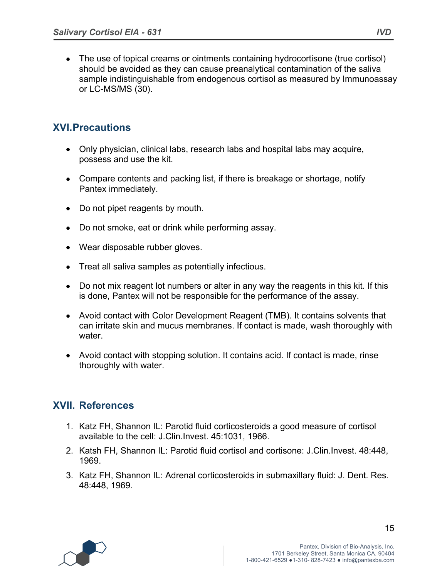• The use of topical creams or ointments containing hydrocortisone (true cortisol) should be avoided as they can cause preanalytical contamination of the saliva sample indistinguishable from endogenous cortisol as measured by Immunoassay or LC-MS/MS (30).

# **XVI.Precautions**

- Only physician, clinical labs, research labs and hospital labs may acquire, possess and use the kit.
- Compare contents and packing list, if there is breakage or shortage, notify Pantex immediately.
- Do not pipet reagents by mouth.
- Do not smoke, eat or drink while performing assay.
- Wear disposable rubber gloves.
- Treat all saliva samples as potentially infectious.
- Do not mix reagent lot numbers or alter in any way the reagents in this kit. If this is done, Pantex will not be responsible for the performance of the assay.
- Avoid contact with Color Development Reagent (TMB). It contains solvents that can irritate skin and mucus membranes. If contact is made, wash thoroughly with water.
- Avoid contact with stopping solution. It contains acid. If contact is made, rinse thoroughly with water.

# **XVII. References**

- 1. Katz FH, Shannon IL: Parotid fluid corticosteroids a good measure of cortisol available to the cell: J.Clin.Invest. 45:1031, 1966.
- 2. Katsh FH, Shannon IL: Parotid fluid cortisol and cortisone: J.Clin.Invest. 48:448, 1969.
- 3. Katz FH, Shannon IL: Adrenal corticosteroids in submaxillary fluid: J. Dent. Res. 48:448, 1969.

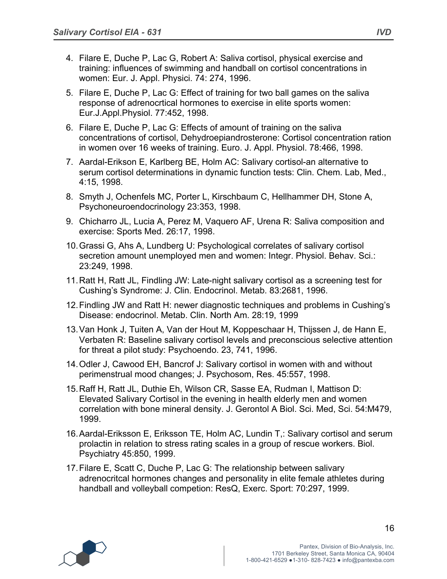- 4. Filare E, Duche P, Lac G, Robert A: Saliva cortisol, physical exercise and training: influences of swimming and handball on cortisol concentrations in women: Eur. J. Appl. Physici. 74: 274, 1996.
- 5. Filare E, Duche P, Lac G: Effect of training for two ball games on the saliva response of adrenocrtical hormones to exercise in elite sports women: Eur.J.Appl.Physiol. 77:452, 1998.
- 6. Filare E, Duche P, Lac G: Effects of amount of training on the saliva concentrations of cortisol, Dehydroepiandrosterone: Cortisol concentration ration in women over 16 weeks of training. Euro. J. Appl. Physiol. 78:466, 1998.
- 7. Aardal-Erikson E, Karlberg BE, Holm AC: Salivary cortisol-an alternative to serum cortisol determinations in dynamic function tests: Clin. Chem. Lab, Med., 4:15, 1998.
- 8. Smyth J, Ochenfels MC, Porter L, Kirschbaum C, Hellhammer DH, Stone A, Psychoneuroendocrinology 23:353, 1998.
- 9. Chicharro JL, Lucia A, Perez M, Vaquero AF, Urena R: Saliva composition and exercise: Sports Med. 26:17, 1998.
- 10.Grassi G, Ahs A, Lundberg U: Psychological correlates of salivary cortisol secretion amount unemployed men and women: Integr. Physiol. Behav. Sci.: 23:249, 1998.
- 11.Ratt H, Ratt JL, Findling JW: Late-night salivary cortisol as a screening test for Cushing's Syndrome: J. Clin. Endocrinol. Metab. 83:2681, 1996.
- 12.Findling JW and Ratt H: newer diagnostic techniques and problems in Cushing's Disease: endocrinol. Metab. Clin. North Am. 28:19, 1999
- 13.Van Honk J, Tuiten A, Van der Hout M, Koppeschaar H, Thijssen J, de Hann E, Verbaten R: Baseline salivary cortisol levels and preconscious selective attention for threat a pilot study: Psychoendo. 23, 741, 1996.
- 14.Odler J, Cawood EH, Bancrof J: Salivary cortisol in women with and without perimenstrual mood changes; J. Psychosom, Res. 45:557, 1998.
- 15.Raff H, Ratt JL, Duthie Eh, Wilson CR, Sasse EA, Rudman I, Mattison D: Elevated Salivary Cortisol in the evening in health elderly men and women correlation with bone mineral density. J. Gerontol A Biol. Sci. Med, Sci. 54:M479, 1999.
- 16.Aardal-Eriksson E, Eriksson TE, Holm AC, Lundin T,: Salivary cortisol and serum prolactin in relation to stress rating scales in a group of rescue workers. Biol. Psychiatry 45:850, 1999.
- 17.Filare E, Scatt C, Duche P, Lac G: The relationship between salivary adrenocritcal hormones changes and personality in elite female athletes during handball and volleyball competion: ResQ, Exerc. Sport: 70:297, 1999.